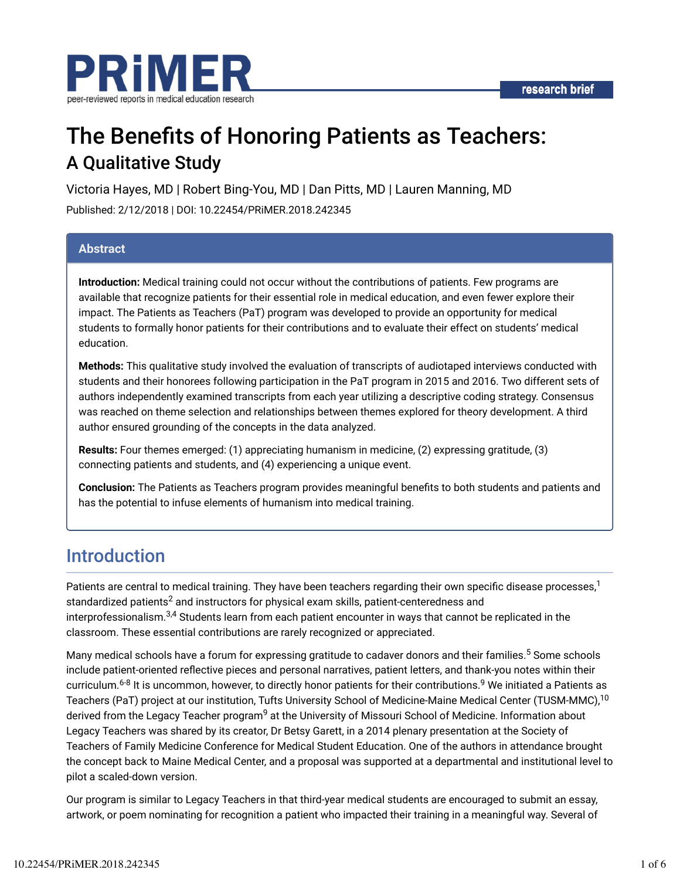

# The Benefits of Honoring Patients as Teachers: A Qualitative Study

Victoria Hayes, MD | Robert Bing-You, MD | Dan Pitts, MD | Lauren Manning, MD Published: 2/12/2018 | DOI: 10.22454/PRiMER.2018.242345

### **Abstract**

**Introduction:** Medical training could not occur without the contributions of patients. Few programs are available that recognize patients for their essential role in medical education, and even fewer explore their impact. The Patients as Teachers (PaT) program was developed to provide an opportunity for medical students to formally honor patients for their contributions and to evaluate their effect on students' medical education.

**Methods:** This qualitative study involved the evaluation of transcripts of audiotaped interviews conducted with students and their honorees following participation in the PaT program in 2015 and 2016. Two different sets of authors independently examined transcripts from each year utilizing a descriptive coding strategy. Consensus was reached on theme selection and relationships between themes explored for theory development. A third author ensured grounding of the concepts in the data analyzed.

**Results:** Four themes emerged: (1) appreciating humanism in medicine, (2) expressing gratitude, (3) connecting patients and students, and (4) experiencing a unique event.

Conclusion: The Patients as Teachers program provides meaningful benefits to both students and patients and has the potential to infuse elements of humanism into medical training.

# Introduction

Patients are central to medical training. They have been teachers regarding their own specific disease processes, $^1$ standardized patients $^2$  and instructors for physical exam skills, patient-centeredness and interprofessionalism. $^{3,4}$  Students learn from each patient encounter in ways that cannot be replicated in the classroom. These essential contributions are rarely recognized or appreciated.

Many medical schools have a forum for expressing gratitude to cadaver donors and their families.<sup>5</sup> Some schools include patient-oriented reflective pieces and personal narratives, patient letters, and thank-you notes within their curriculum.<sup>6-8</sup> It is uncommon, however, to directly honor patients for their contributions.<sup>9</sup> We initiated a Patients as Teachers (PaT) project at our institution, Tufts University School of Medicine-Maine Medical Center (TUSM-MMC),<sup>10</sup> derived from the Legacy Teacher program<sup>9</sup> at the University of Missouri School of Medicine. Information about Legacy Teachers was shared by its creator, Dr Betsy Garett, in a 2014 plenary presentation at the Society of Teachers of Family Medicine Conference for Medical Student Education. One of the authors in attendance brought the concept back to Maine Medical Center, and a proposal was supported at a departmental and institutional level to pilot a scaled-down version.

Our program is similar to Legacy Teachers in that third-year medical students are encouraged to submit an essay, artwork, or poem nominating for recognition a patient who impacted their training in a meaningful way. Several of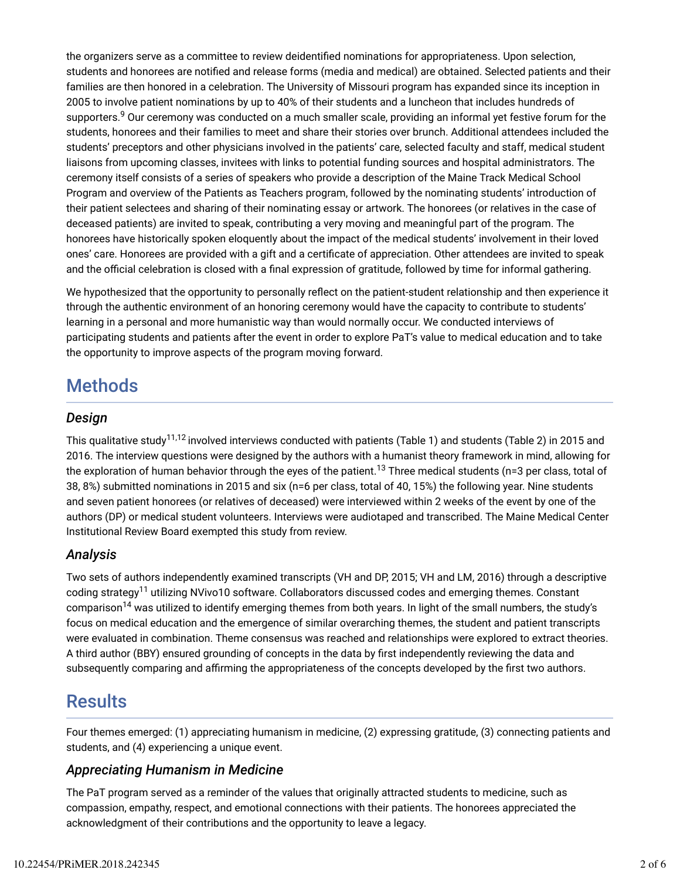the organizers serve as a committee to review deidentified nominations for appropriateness. Upon selection, students and honorees are notified and release forms (media and medical) are obtained. Selected patients and their families are then honored in a celebration. The University of Missouri program has expanded since its inception in 2005 to involve patient nominations by up to 40% of their students and a luncheon that includes hundreds of supporters.<sup>9</sup> Our ceremony was conducted on a much smaller scale, providing an informal yet festive forum for the students, honorees and their families to meet and share their stories over brunch. Additional attendees included the students' preceptors and other physicians involved in the patients' care, selected faculty and staff, medical student liaisons from upcoming classes, invitees with links to potential funding sources and hospital administrators. The ceremony itself consists of a series of speakers who provide a description of the Maine Track Medical School Program and overview of the Patients as Teachers program, followed by the nominating students' introduction of their patient selectees and sharing of their nominating essay or artwork. The honorees (or relatives in the case of deceased patients) are invited to speak, contributing a very moving and meaningful part of the program. The honorees have historically spoken eloquently about the impact of the medical students' involvement in their loved ones' care. Honorees are provided with a gift and a certificate of appreciation. Other attendees are invited to speak and the official celebration is closed with a final expression of gratitude, followed by time for informal gathering.

We hypothesized that the opportunity to personally reflect on the patient-student relationship and then experience it through the authentic environment of an honoring ceremony would have the capacity to contribute to students' learning in a personal and more humanistic way than would normally occur. We conducted interviews of participating students and patients after the event in order to explore PaT's value to medical education and to take the opportunity to improve aspects of the program moving forward.

# **Methods**

### *Design*

This qualitative study $^{11,12}$  involved interviews conducted with patients (Table 1) and students (Table 2) in 2015 and 2016. The interview questions were designed by the authors with a humanist theory framework in mind, allowing for the exploration of human behavior through the eyes of the patient.<sup>13</sup> Three medical students (n=3 per class, total of 38, 8%) submitted nominations in 2015 and six (n=6 per class, total of 40, 15%) the following year. Nine students and seven patient honorees (or relatives of deceased) were interviewed within 2 weeks of the event by one of the authors (DP) or medical student volunteers. Interviews were audiotaped and transcribed. The Maine Medical Center Institutional Review Board exempted this study from review.

# *Analysis*

Two sets of authors independently examined transcripts (VH and DP, 2015; VH and LM, 2016) through a descriptive  $\,$ coding strategy $^{11}$  utilizing NVivo $10$  software. Collaborators dis $\,$ cussed  $\,$ codes and emerging themes. Constant comparison $^{14}$  was utilized to identify emerging themes from both years. In light of the small numbers, the study's focus on medical education and the emergence of similar overarching themes, the student and patient transcripts were evaluated in combination. Theme consensus was reached and relationships were explored to extract theories. A third author (BBY) ensured grounding of concepts in the data by first independently reviewing the data and subsequently comparing and affirming the appropriateness of the concepts developed by the first two authors.

# **Results**

Four themes emerged: (1) appreciating humanism in medicine, (2) expressing gratitude, (3) connecting patients and students, and (4) experiencing a unique event.

### *Appreciating Humanism in Medicine*

The PaT program served as a reminder of the values that originally attracted students to medicine, such as compassion, empathy, respect, and emotional connections with their patients. The honorees appreciated the acknowledgment of their contributions and the opportunity to leave a legacy.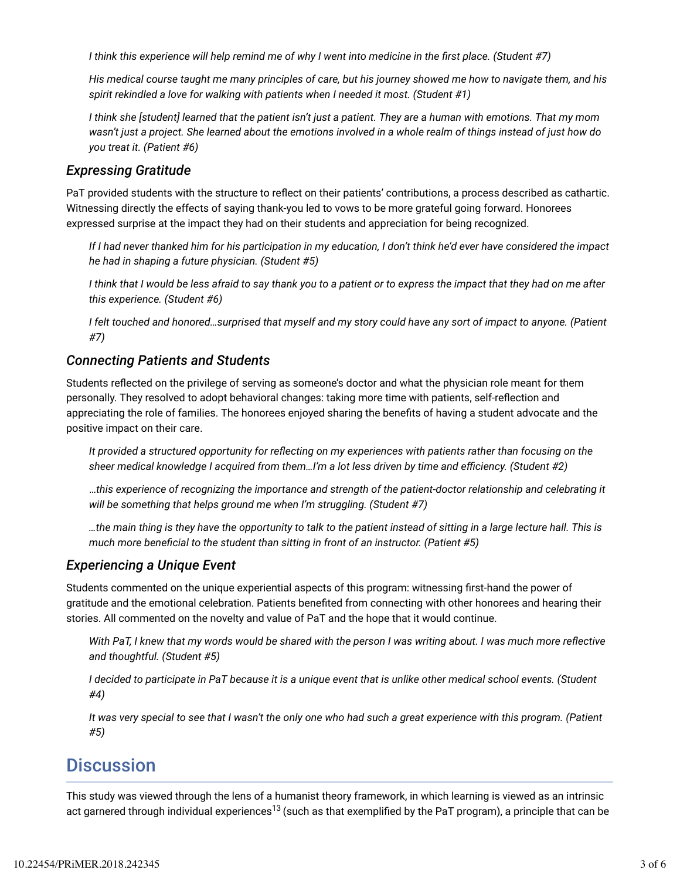*I think this experience will help remind me of why I went into medicine in the first place. (Student #7)* 

*His medical course taught me many principles of care, but his journey showed me how to navigate them, and his spirit rekindled a love for walking with patients when I needed it most. (Student #1)*

*I think she [student] learned that the patient isn't just a patient. They are a human with emotions. That my mom wasn't just a project. She learned about the emotions involved in a whole realm of things instead of just how do you treat it. (Patient #6)*

### *Expressing Gratitude*

PaT provided students with the structure to reflect on their patients' contributions, a process described as cathartic. Witnessing directly the effects of saying thank-you led to vows to be more grateful going forward. Honorees expressed surprise at the impact they had on their students and appreciation for being recognized.

*If I had never thanked him for his participation in my education, I don't think he'd ever have considered the impact he had in shaping a future physician. (Student #5)*

*I think that I would be less afraid to say thank you to a patient or to express the impact that they had on me after this experience. (Student #6)*

*I felt touched and honored…surprised that myself and my story could have any sort of impact to anyone. (Patient #7)*

### *Connecting Patients and Students*

Students reflected on the privilege of serving as someone's doctor and what the physician role meant for them personally. They resolved to adopt behavioral changes: taking more time with patients, self-reflection and appreciating the role of families. The honorees enjoyed sharing the benefits of having a student advocate and the positive impact on their care.

*It provided a structured opportunity for reflecting on my experiences with patients rather than focusing on the* sheer medical knowledge I acquired from them...I'm a lot less driven by time and efficiency. (Student #2)

…*this experience of recognizing the importance and strength of the patient-doctor relationship and celebrating it will be something that helps ground me when I'm struggling. (Student #7)*

*…the main thing is they have the opportunity to talk to the patient instead of sitting in a large lecture hall. This is much more beneficial to the student than sitting in front of an instructor. (Patient #5)* 

#### *Experiencing a Unique Event*

Students commented on the unique experiential aspects of this program: witnessing first-hand the power of gratitude and the emotional celebration. Patients benefited from connecting with other honorees and hearing their stories. All commented on the novelty and value of PaT and the hope that it would continue.

*With PaT, I knew that my words would be shared with the person I was writing about. I was much more reflective and thoughtful. (Student #5)*

*I decided to participate in PaT because it is a unique event that is unlike other medical school events. (Student #4)*

*It was very special to see that I wasn't the only one who had such a great experience with this program. (Patient #5)*

# **Discussion**

This study was viewed through the lens of a humanist theory framework, in which learning is viewed as an intrinsic act garnered through individual experiences<sup>13</sup> (such as that exemplified by the PaT program), a principle that can be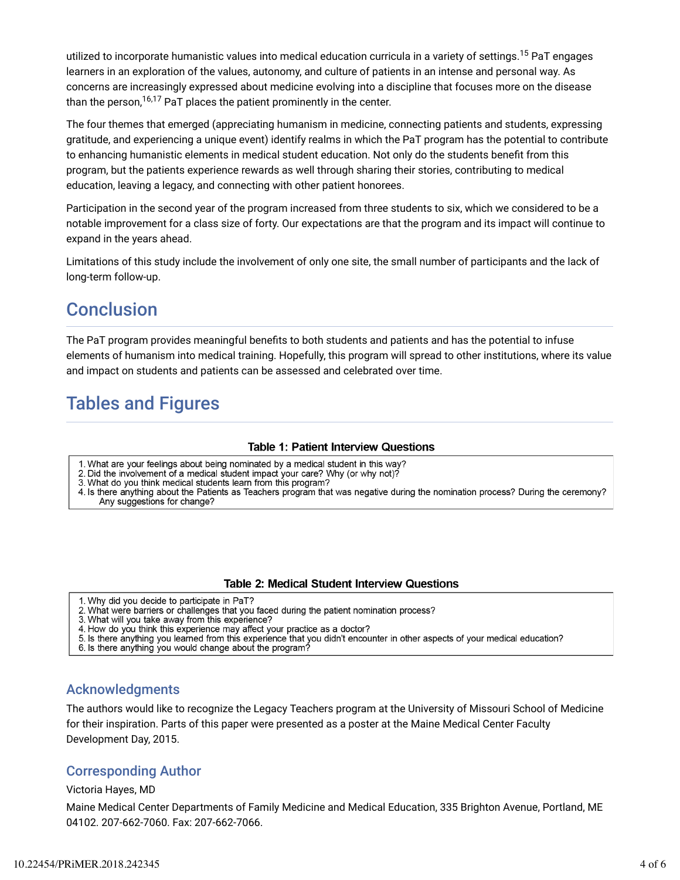utilized to incorporate humanistic values into medical education curricula in a variety of settings.<sup>15</sup> PaT engages learners in an exploration of the values, autonomy, and culture of patients in an intense and personal way. As concerns are increasingly expressed about medicine evolving into a discipline that focuses more on the disease than the person, $^{16,17}$  PaT places the patient prominently in the center.

The four themes that emerged (appreciating humanism in medicine, connecting patients and students, expressing gratitude, and experiencing a unique event) identify realms in which the PaT program has the potential to contribute to enhancing humanistic elements in medical student education. Not only do the students benefit from this program, but the patients experience rewards as well through sharing their stories, contributing to medical education, leaving a legacy, and connecting with other patient honorees.

Participation in the second year of the program increased from three students to six, which we considered to be a notable improvement for a class size of forty. Our expectations are that the program and its impact will continue to expand in the years ahead.

Limitations of this study include the involvement of only one site, the small number of participants and the lack of long-term follow-up.

# **Conclusion**

The PaT program provides meaningful benefits to both students and patients and has the potential to infuse elements of humanism into medical training. Hopefully, this program will spread to other institutions, where its value and impact on students and patients can be assessed and celebrated over time.

# Tables and Figures

#### **Table 1: Patient Interview Questions**

- 1. What are your feelings about being nominated by a medical student in this way?
- 2. Did the involvement of a medical student impact your care? Why (or why not)?
- 3. What do you think medical students learn from this program?
- 4. Is there anything about the Patients as Teachers program that was negative during the nomination process? During the ceremony? Any suggestions for change?

#### **Table 2: Medical Student Interview Questions**

- 1. Why did you decide to participate in PaT?
- 2. What were barriers or challenges that you faced during the patient nomination process?
- 3. What will you take away from this experience?
- 4. How do you think this experience may affect your practice as a doctor?
- 5. Is there anything you learned from this experience that you didn't encounter in other aspects of your medical education?
- 6. Is there anything you would change about the program?

#### Acknowledgments

The authors would like to recognize the Legacy Teachers program at the University of Missouri School of Medicine for their inspiration. Parts of this paper were presented as a poster at the Maine Medical Center Faculty Development Day, 2015.

#### Corresponding Author

#### Victoria Hayes, MD

Maine Medical Center Departments of Family Medicine and Medical Education, 335 Brighton Avenue, Portland, ME 04102. 207-662-7060. Fax: 207-662-7066.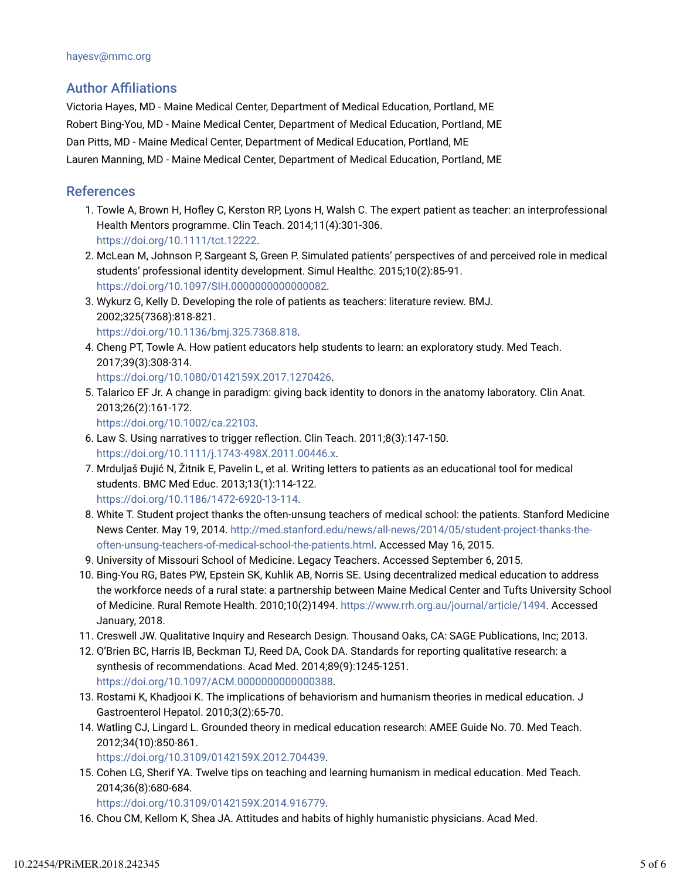# **Author Affiliations**

Victoria Hayes, MD - Maine Medical Center, Department of Medical Education, Portland, ME Robert Bing-You, MD - Maine Medical Center, Department of Medical Education, Portland, ME Dan Pitts, MD - Maine Medical Center, Department of Medical Education, Portland, ME Lauren Manning, MD - Maine Medical Center, Department of Medical Education, Portland, ME

### References

- 1. Towle A, Brown H, Hofley C, Kerston RP, Lyons H, Walsh C. The expert patient as teacher: an interprofessional Health Mentors programme. Clin Teach. 2014;11(4):301-306. https://doi.org/10.1111/tct.12222.
- 2. McLean M, Johnson P, Sargeant S, Green P. Simulated patients' perspectives of and perceived role in medical students' professional identity development. Simul Healthc. 2015;10(2):85-91. https://doi.org/10.1097/SIH.0000000000000082.
- 3. Wykurz G, Kelly D. Developing the role of patients as teachers: literature review. BMJ. 2002;325(7368):818-821.
	- https://doi.org/10.1136/bmj.325.7368.818.
- Cheng PT, Towle A. How patient educators help students to learn: an exploratory study. Med Teach. 4. 2017;39(3):308-314.

https://doi.org/10.1080/0142159X.2017.1270426.

5. Talarico EF Jr. A change in paradigm: giving back identity to donors in the anatomy laboratory. Clin Anat. 2013;26(2):161-172.

https://doi.org/10.1002/ca.22103.

- 6. Law S. Using narratives to trigger reflection. Clin Teach. 2011;8(3):147-150. https://doi.org/10.1111/j.1743-498X.2011.00446.x.
- 7. Mrduljaš Đujić N, Žitnik E, Pavelin L, et al. Writing letters to patients as an educational tool for medical students. BMC Med Educ. 2013;13(1):114-122.

https://doi.org/10.1186/1472-6920-13-114.

- 8. White T. Student project thanks the often-unsung teachers of medical school: the patients. Stanford Medicine News Center. May 19, 2014. http://med.stanford.edu/news/all-news/2014/05/student-project-thanks-theoften-unsung-teachers-of-medical-school-the-patients.html. Accessed May 16, 2015.
- 9. University of Missouri School of Medicine. Legacy Teachers. Accessed September 6, 2015.
- 10. Bing-You RG, Bates PW, Epstein SK, Kuhlik AB, Norris SE. Using decentralized medical education to address the workforce needs of a rural state: a partnership between Maine Medical Center and Tufts University School of Medicine. Rural Remote Health. 2010;10(2)1494. https://www.rrh.org.au/journal/article/1494. Accessed January, 2018.
- 11. Creswell JW. Qualitative Inquiry and Research Design. Thousand Oaks, CA: SAGE Publications, Inc; 2013.
- 12. O'Brien BC, Harris IB, Beckman TJ, Reed DA, Cook DA. Standards for reporting qualitative research: a synthesis of recommendations. Acad Med. 2014;89(9):1245-1251. https://doi.org/10.1097/ACM.0000000000000388.
- 13. Rostami K, Khadjooi K. The implications of behaviorism and humanism theories in medical education. J Gastroenterol Hepatol. 2010;3(2):65-70.
- 14. Watling CJ, Lingard L. Grounded theory in medical education research: AMEE Guide No. 70. Med Teach. 2012;34(10):850-861.

https://doi.org/10.3109/0142159X.2012.704439.

15. Cohen LG, Sherif YA. Twelve tips on teaching and learning humanism in medical education. Med Teach. 2014;36(8):680-684.

https://doi.org/10.3109/0142159X.2014.916779.

16. Chou CM, Kellom K, Shea JA. Attitudes and habits of highly humanistic physicians. Acad Med.